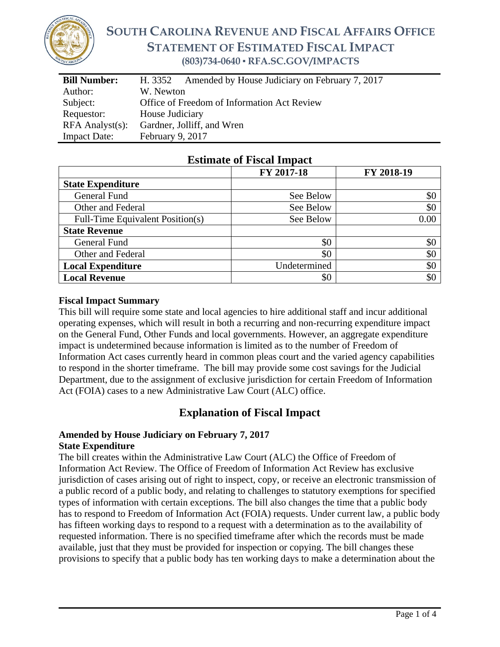

# **SOUTH CAROLINA REVENUE AND FISCAL AFFAIRS OFFICE STATEMENT OF ESTIMATED FISCAL IMPACT (803)734-0640 ▪ RFA.SC.GOV/IMPACTS**

| <b>Bill Number:</b>   | Amended by House Judiciary on February 7, 2017<br>H. 3352 |  |  |
|-----------------------|-----------------------------------------------------------|--|--|
| Author:               | W. Newton                                                 |  |  |
| Subject:              | Office of Freedom of Information Act Review               |  |  |
| Requestor:            | House Judiciary                                           |  |  |
| $RFA$ Analyst $(s)$ : | Gardner, Jolliff, and Wren                                |  |  |
| <b>Impact Date:</b>   | February 9, 2017                                          |  |  |

|                                  | FY 2017-18   | FY 2018-19 |
|----------------------------------|--------------|------------|
| <b>State Expenditure</b>         |              |            |
| General Fund                     | See Below    | \$0        |
| Other and Federal                | See Below    | \$0        |
| Full-Time Equivalent Position(s) | See Below    | 0.00       |
| <b>State Revenue</b>             |              |            |
| General Fund                     | \$0          | \$0        |
| Other and Federal                | \$0          | \$0        |
| <b>Local Expenditure</b>         | Undetermined | \$0        |
| <b>Local Revenue</b>             | \$0          | \$0        |

## **Estimate of Fiscal Impact**

#### **Fiscal Impact Summary**

This bill will require some state and local agencies to hire additional staff and incur additional operating expenses, which will result in both a recurring and non-recurring expenditure impact on the General Fund, Other Funds and local governments. However, an aggregate expenditure impact is undetermined because information is limited as to the number of Freedom of Information Act cases currently heard in common pleas court and the varied agency capabilities to respond in the shorter timeframe. The bill may provide some cost savings for the Judicial Department, due to the assignment of exclusive jurisdiction for certain Freedom of Information Act (FOIA) cases to a new Administrative Law Court (ALC) office.

# **Explanation of Fiscal Impact**

#### **Amended by House Judiciary on February 7, 2017 State Expenditure**

The bill creates within the Administrative Law Court (ALC) the Office of Freedom of Information Act Review. The Office of Freedom of Information Act Review has exclusive jurisdiction of cases arising out of right to inspect, copy, or receive an electronic transmission of a public record of a public body, and relating to challenges to statutory exemptions for specified types of information with certain exceptions. The bill also changes the time that a public body has to respond to Freedom of Information Act (FOIA) requests. Under current law, a public body has fifteen working days to respond to a request with a determination as to the availability of requested information. There is no specified timeframe after which the records must be made available, just that they must be provided for inspection or copying. The bill changes these provisions to specify that a public body has ten working days to make a determination about the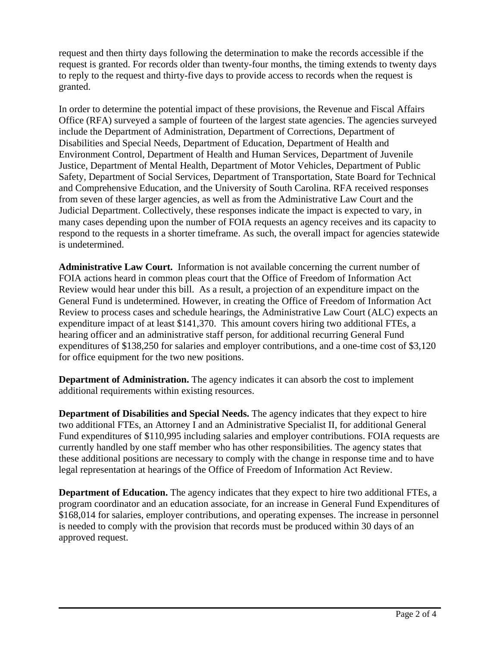request and then thirty days following the determination to make the records accessible if the request is granted. For records older than twenty-four months, the timing extends to twenty days to reply to the request and thirty-five days to provide access to records when the request is granted.

In order to determine the potential impact of these provisions, the Revenue and Fiscal Affairs Office (RFA) surveyed a sample of fourteen of the largest state agencies. The agencies surveyed include the Department of Administration, Department of Corrections, Department of Disabilities and Special Needs, Department of Education, Department of Health and Environment Control, Department of Health and Human Services, Department of Juvenile Justice, Department of Mental Health, Department of Motor Vehicles, Department of Public Safety, Department of Social Services, Department of Transportation, State Board for Technical and Comprehensive Education, and the University of South Carolina. RFA received responses from seven of these larger agencies, as well as from the Administrative Law Court and the Judicial Department. Collectively, these responses indicate the impact is expected to vary, in many cases depending upon the number of FOIA requests an agency receives and its capacity to respond to the requests in a shorter timeframe. As such, the overall impact for agencies statewide is undetermined.

**Administrative Law Court.** Information is not available concerning the current number of FOIA actions heard in common pleas court that the Office of Freedom of Information Act Review would hear under this bill. As a result, a projection of an expenditure impact on the General Fund is undetermined. However, in creating the Office of Freedom of Information Act Review to process cases and schedule hearings, the Administrative Law Court (ALC) expects an expenditure impact of at least \$141,370. This amount covers hiring two additional FTEs, a hearing officer and an administrative staff person, for additional recurring General Fund expenditures of \$138,250 for salaries and employer contributions, and a one-time cost of \$3,120 for office equipment for the two new positions.

**Department of Administration.** The agency indicates it can absorb the cost to implement additional requirements within existing resources.

**Department of Disabilities and Special Needs.** The agency indicates that they expect to hire two additional FTEs, an Attorney I and an Administrative Specialist II, for additional General Fund expenditures of \$110,995 including salaries and employer contributions. FOIA requests are currently handled by one staff member who has other responsibilities. The agency states that these additional positions are necessary to comply with the change in response time and to have legal representation at hearings of the Office of Freedom of Information Act Review.

**Department of Education.** The agency indicates that they expect to hire two additional FTEs, a program coordinator and an education associate, for an increase in General Fund Expenditures of \$168,014 for salaries, employer contributions, and operating expenses. The increase in personnel is needed to comply with the provision that records must be produced within 30 days of an approved request.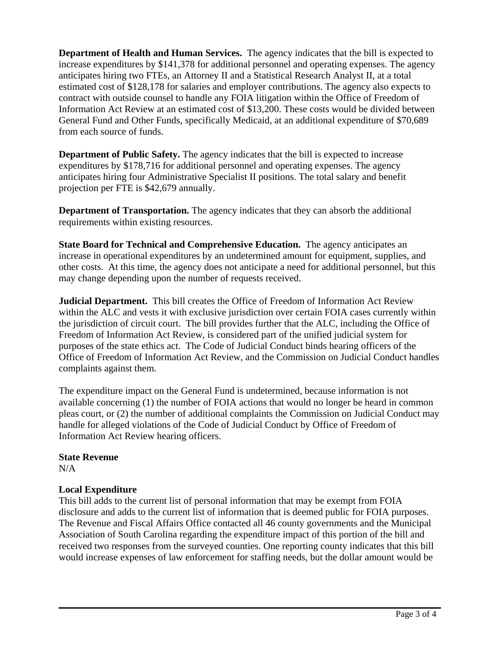**Department of Health and Human Services.** The agency indicates that the bill is expected to increase expenditures by \$141,378 for additional personnel and operating expenses. The agency anticipates hiring two FTEs, an Attorney II and a Statistical Research Analyst II, at a total estimated cost of \$128,178 for salaries and employer contributions. The agency also expects to contract with outside counsel to handle any FOIA litigation within the Office of Freedom of Information Act Review at an estimated cost of \$13,200. These costs would be divided between General Fund and Other Funds, specifically Medicaid, at an additional expenditure of \$70,689 from each source of funds.

**Department of Public Safety.** The agency indicates that the bill is expected to increase expenditures by \$178,716 for additional personnel and operating expenses. The agency anticipates hiring four Administrative Specialist II positions. The total salary and benefit projection per FTE is \$42,679 annually.

**Department of Transportation.** The agency indicates that they can absorb the additional requirements within existing resources.

**State Board for Technical and Comprehensive Education.** The agency anticipates an increase in operational expenditures by an undetermined amount for equipment, supplies, and other costs. At this time, the agency does not anticipate a need for additional personnel, but this may change depending upon the number of requests received.

**Judicial Department.** This bill creates the Office of Freedom of Information Act Review within the ALC and vests it with exclusive jurisdiction over certain FOIA cases currently within the jurisdiction of circuit court. The bill provides further that the ALC, including the Office of Freedom of Information Act Review, is considered part of the unified judicial system for purposes of the state ethics act. The Code of Judicial Conduct binds hearing officers of the Office of Freedom of Information Act Review, and the Commission on Judicial Conduct handles complaints against them.

The expenditure impact on the General Fund is undetermined, because information is not available concerning (1) the number of FOIA actions that would no longer be heard in common pleas court, or (2) the number of additional complaints the Commission on Judicial Conduct may handle for alleged violations of the Code of Judicial Conduct by Office of Freedom of Information Act Review hearing officers.

### **State Revenue**

N/A

# **Local Expenditure**

This bill adds to the current list of personal information that may be exempt from FOIA disclosure and adds to the current list of information that is deemed public for FOIA purposes. The Revenue and Fiscal Affairs Office contacted all 46 county governments and the Municipal Association of South Carolina regarding the expenditure impact of this portion of the bill and received two responses from the surveyed counties. One reporting county indicates that this bill would increase expenses of law enforcement for staffing needs, but the dollar amount would be